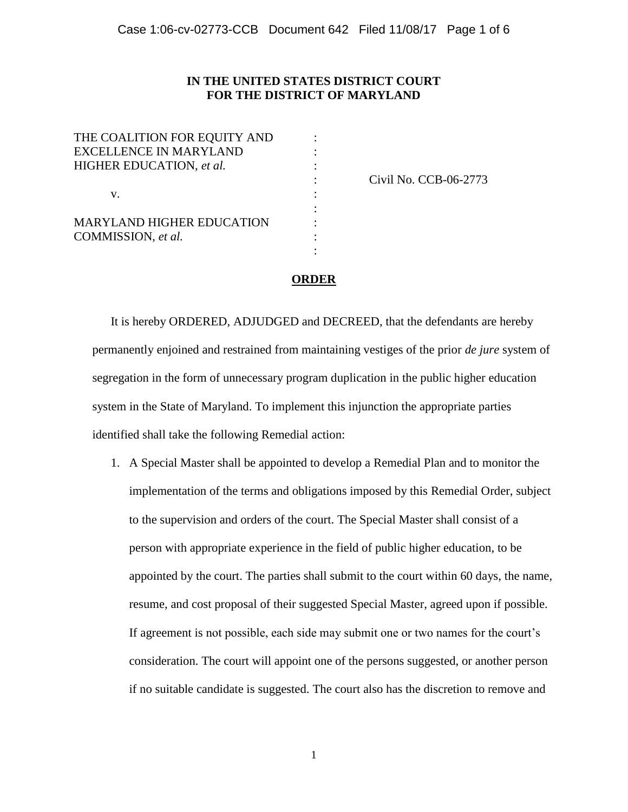## **IN THE UNITED STATES DISTRICT COURT FOR THE DISTRICT OF MARYLAND**

| THE COALITION FOR EQUITY AND     |  |
|----------------------------------|--|
| <b>EXCELLENCE IN MARYLAND</b>    |  |
| HIGHER EDUCATION, et al.<br>V.   |  |
|                                  |  |
|                                  |  |
|                                  |  |
| <b>MARYLAND HIGHER EDUCATION</b> |  |
| COMMISSION, et al.               |  |
|                                  |  |

: Civil No. CCB-06-2773

## **ORDER**

:

It is hereby ORDERED, ADJUDGED and DECREED, that the defendants are hereby permanently enjoined and restrained from maintaining vestiges of the prior *de jure* system of segregation in the form of unnecessary program duplication in the public higher education system in the State of Maryland. To implement this injunction the appropriate parties identified shall take the following Remedial action:

1. A Special Master shall be appointed to develop a Remedial Plan and to monitor the implementation of the terms and obligations imposed by this Remedial Order, subject to the supervision and orders of the court. The Special Master shall consist of a person with appropriate experience in the field of public higher education, to be appointed by the court. The parties shall submit to the court within 60 days, the name, resume, and cost proposal of their suggested Special Master, agreed upon if possible. If agreement is not possible, each side may submit one or two names for the court's consideration. The court will appoint one of the persons suggested, or another person if no suitable candidate is suggested. The court also has the discretion to remove and

1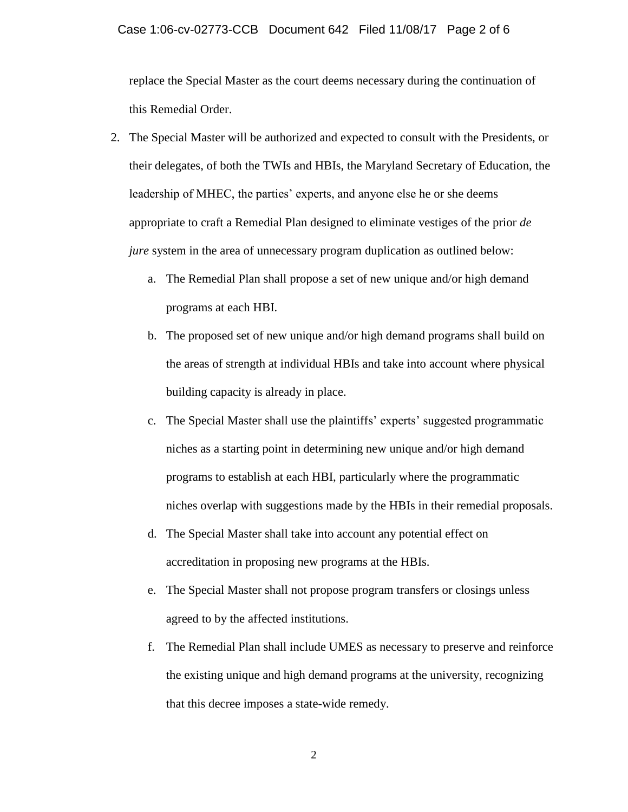replace the Special Master as the court deems necessary during the continuation of this Remedial Order.

- 2. The Special Master will be authorized and expected to consult with the Presidents, or their delegates, of both the TWIs and HBIs, the Maryland Secretary of Education, the leadership of MHEC, the parties' experts, and anyone else he or she deems appropriate to craft a Remedial Plan designed to eliminate vestiges of the prior *de jure* system in the area of unnecessary program duplication as outlined below:
	- a. The Remedial Plan shall propose a set of new unique and/or high demand programs at each HBI.
	- b. The proposed set of new unique and/or high demand programs shall build on the areas of strength at individual HBIs and take into account where physical building capacity is already in place.
	- c. The Special Master shall use the plaintiffs' experts' suggested programmatic niches as a starting point in determining new unique and/or high demand programs to establish at each HBI, particularly where the programmatic niches overlap with suggestions made by the HBIs in their remedial proposals.
	- d. The Special Master shall take into account any potential effect on accreditation in proposing new programs at the HBIs.
	- e. The Special Master shall not propose program transfers or closings unless agreed to by the affected institutions.
	- f. The Remedial Plan shall include UMES as necessary to preserve and reinforce the existing unique and high demand programs at the university, recognizing that this decree imposes a state-wide remedy.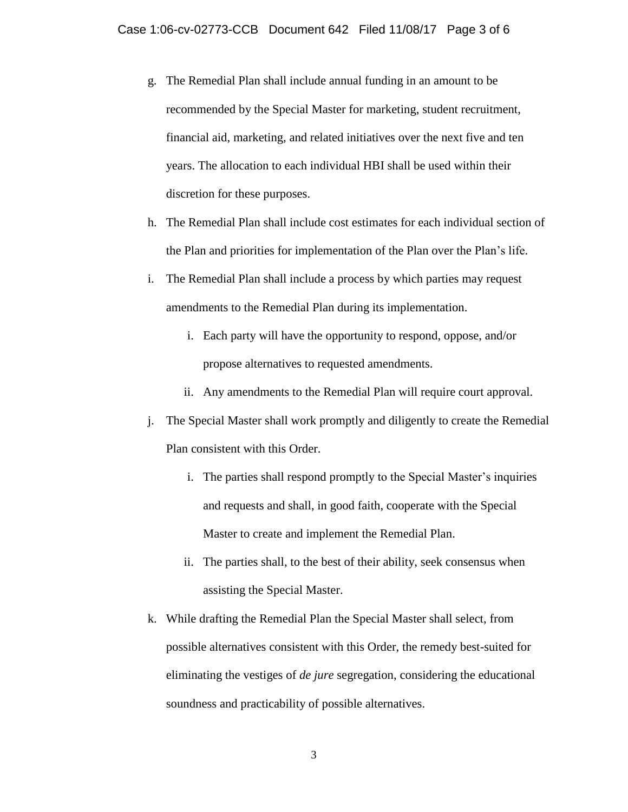- g. The Remedial Plan shall include annual funding in an amount to be recommended by the Special Master for marketing, student recruitment, financial aid, marketing, and related initiatives over the next five and ten years. The allocation to each individual HBI shall be used within their discretion for these purposes.
- h. The Remedial Plan shall include cost estimates for each individual section of the Plan and priorities for implementation of the Plan over the Plan's life.
- i. The Remedial Plan shall include a process by which parties may request amendments to the Remedial Plan during its implementation.
	- i. Each party will have the opportunity to respond, oppose, and/or propose alternatives to requested amendments.
	- ii. Any amendments to the Remedial Plan will require court approval.
- j. The Special Master shall work promptly and diligently to create the Remedial Plan consistent with this Order.
	- i. The parties shall respond promptly to the Special Master's inquiries and requests and shall, in good faith, cooperate with the Special Master to create and implement the Remedial Plan.
	- ii. The parties shall, to the best of their ability, seek consensus when assisting the Special Master.
- k. While drafting the Remedial Plan the Special Master shall select, from possible alternatives consistent with this Order, the remedy best-suited for eliminating the vestiges of *de jure* segregation, considering the educational soundness and practicability of possible alternatives.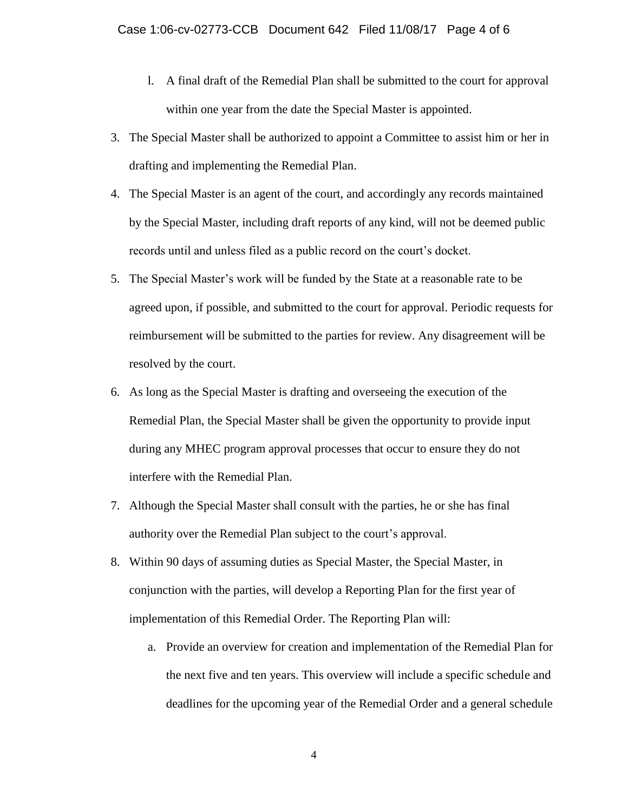- l. A final draft of the Remedial Plan shall be submitted to the court for approval within one year from the date the Special Master is appointed.
- 3. The Special Master shall be authorized to appoint a Committee to assist him or her in drafting and implementing the Remedial Plan.
- 4. The Special Master is an agent of the court, and accordingly any records maintained by the Special Master, including draft reports of any kind, will not be deemed public records until and unless filed as a public record on the court's docket.
- 5. The Special Master's work will be funded by the State at a reasonable rate to be agreed upon, if possible, and submitted to the court for approval. Periodic requests for reimbursement will be submitted to the parties for review. Any disagreement will be resolved by the court.
- 6. As long as the Special Master is drafting and overseeing the execution of the Remedial Plan, the Special Master shall be given the opportunity to provide input during any MHEC program approval processes that occur to ensure they do not interfere with the Remedial Plan.
- 7. Although the Special Master shall consult with the parties, he or she has final authority over the Remedial Plan subject to the court's approval.
- 8. Within 90 days of assuming duties as Special Master, the Special Master, in conjunction with the parties, will develop a Reporting Plan for the first year of implementation of this Remedial Order. The Reporting Plan will:
	- a. Provide an overview for creation and implementation of the Remedial Plan for the next five and ten years. This overview will include a specific schedule and deadlines for the upcoming year of the Remedial Order and a general schedule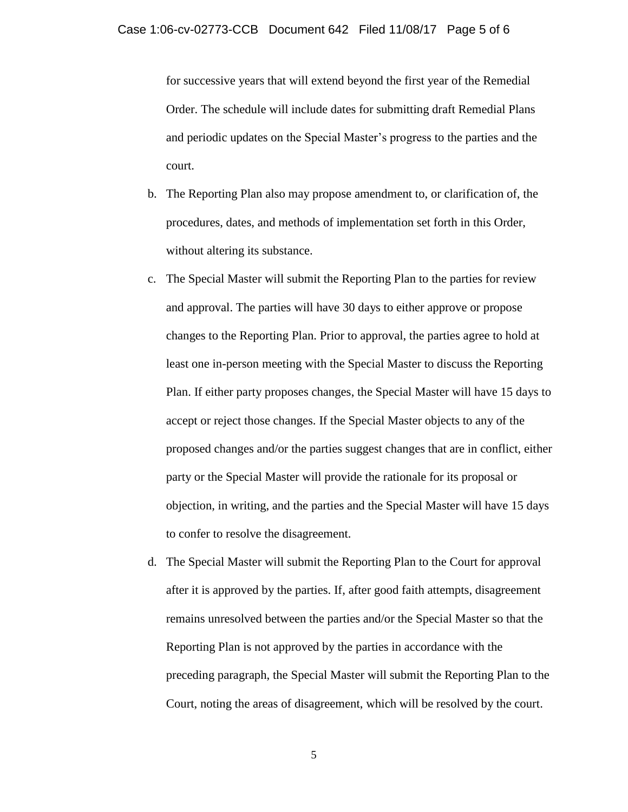for successive years that will extend beyond the first year of the Remedial Order. The schedule will include dates for submitting draft Remedial Plans and periodic updates on the Special Master's progress to the parties and the court.

- b. The Reporting Plan also may propose amendment to, or clarification of, the procedures, dates, and methods of implementation set forth in this Order, without altering its substance.
- c. The Special Master will submit the Reporting Plan to the parties for review and approval. The parties will have 30 days to either approve or propose changes to the Reporting Plan. Prior to approval, the parties agree to hold at least one in-person meeting with the Special Master to discuss the Reporting Plan. If either party proposes changes, the Special Master will have 15 days to accept or reject those changes. If the Special Master objects to any of the proposed changes and/or the parties suggest changes that are in conflict, either party or the Special Master will provide the rationale for its proposal or objection, in writing, and the parties and the Special Master will have 15 days to confer to resolve the disagreement.
- d. The Special Master will submit the Reporting Plan to the Court for approval after it is approved by the parties. If, after good faith attempts, disagreement remains unresolved between the parties and/or the Special Master so that the Reporting Plan is not approved by the parties in accordance with the preceding paragraph, the Special Master will submit the Reporting Plan to the Court, noting the areas of disagreement, which will be resolved by the court.

5